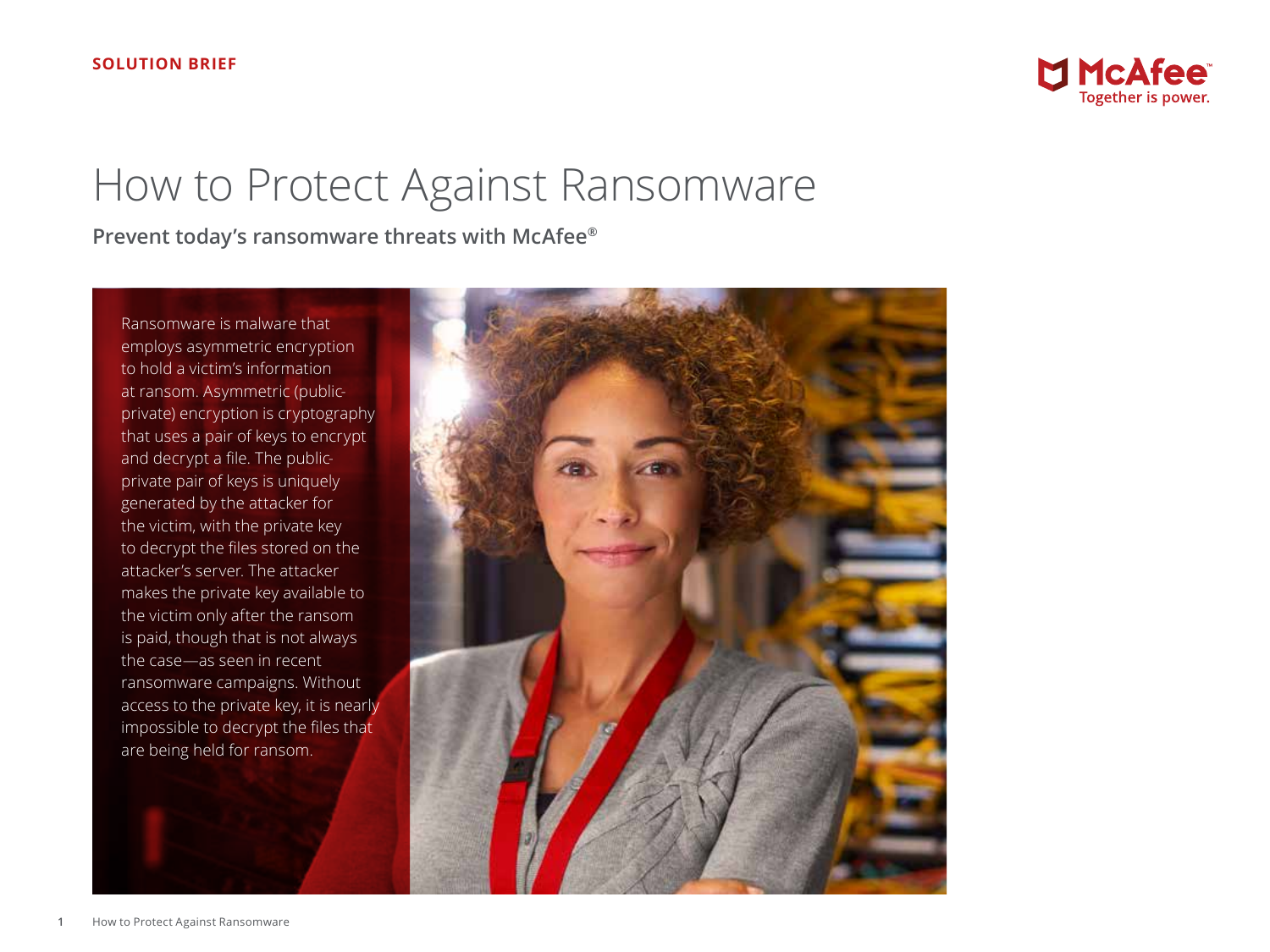

# How to Protect Against Ransomware

**Prevent today's ransomware threats with McAfee®**

Ransomware is malware that employs asymmetric encryption to hold a victim's information at ransom. Asymmetric (publicprivate) encryption is cryptography that uses a pair of keys to encrypt and decrypt a file. The publicprivate pair of keys is uniquely generated by the attacker for the victim, with the private key to decrypt the files stored on the attacker's server. The attacker makes the private key available to the victim only after the ransom is paid, though that is not always the case—as seen in recent ransomware campaigns. Without access to the private key, it is nearly impossible to decrypt the files that are being held for ransom.

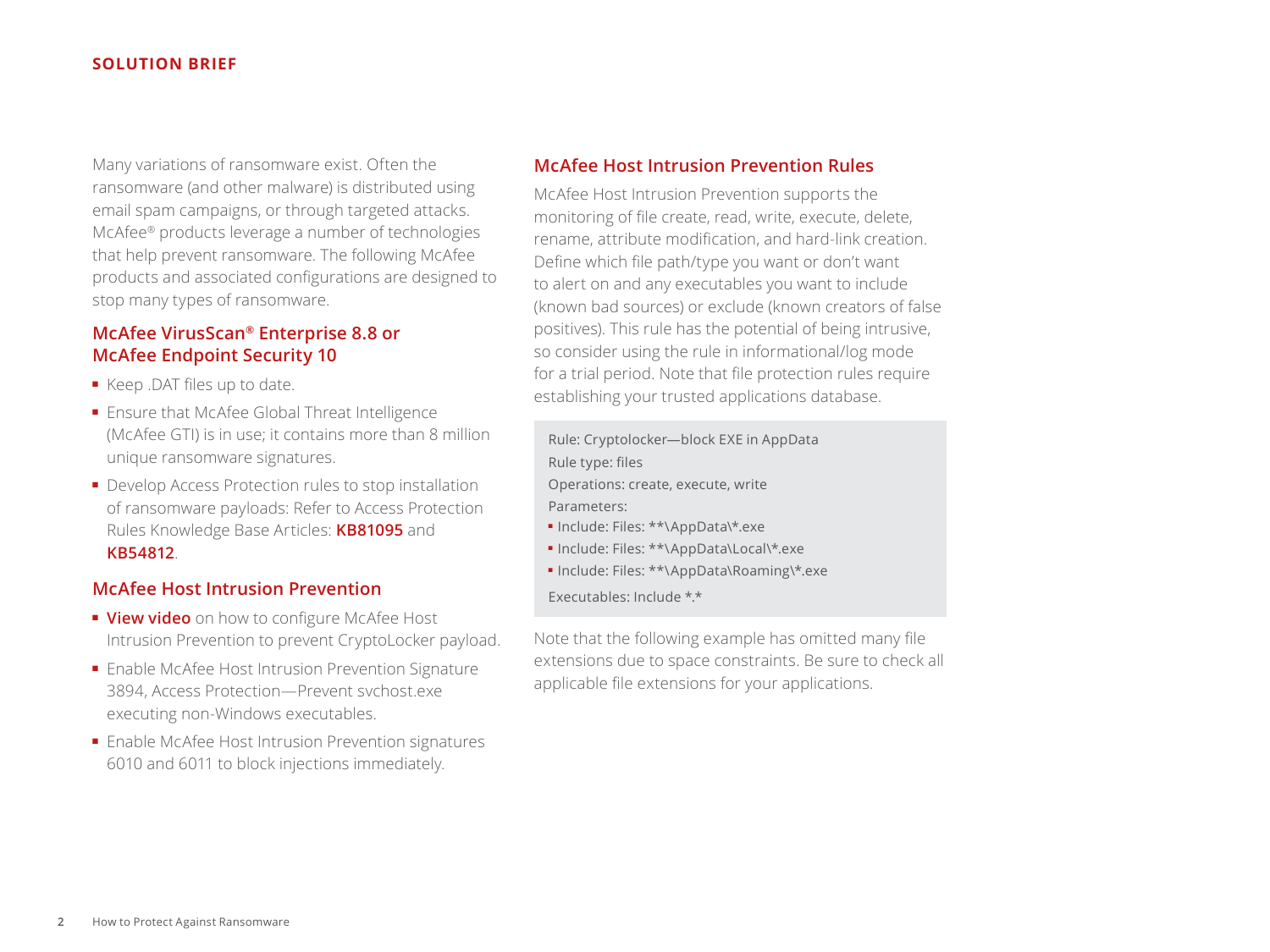#### **SOLUTION BRIEF**

Many variations of ransomware exist. Often the ransomware (and other malware) is distributed using email spam campaigns, or through targeted attacks. McAfee® products leverage a number of technologies that help prevent ransomware. The following McAfee products and associated configurations are designed to stop many types of ransomware.

# **McAfee VirusScan® Enterprise 8.8 or McAfee Endpoint Security 10**

- Keep .DAT files up to date.
- Ensure that McAfee Global Threat Intelligence (McAfee GTI) is in use; it contains more than 8 million unique ransomware signatures.
- Develop Access Protection rules to stop installation of ransomware payloads: Refer to Access Protection Rules Knowledge Base Articles: **[KB81095](https://kc.mcafee.com/corporate/index?page=content&id=KB81095)** and **[KB54812](https://kc.mcafee.com/corporate/index?page=content&id=KB54812)**.

## **McAfee Host Intrusion Prevention**

- **[View video](https://community.mcafee.com/videos/1859)** on how to configure McAfee Host Intrusion Prevention to prevent CryptoLocker payload.
- Enable McAfee Host Intrusion Prevention Signature 3894, Access Protection—Prevent svchost.exe executing non-Windows executables.
- Enable McAfee Host Intrusion Prevention signatures 6010 and 6011 to block injections immediately.

### **McAfee Host Intrusion Prevention Rules**

McAfee Host Intrusion Prevention supports the monitoring of file create, read, write, execute, delete, rename, attribute modification, and hard-link creation. Define which file path/type you want or don't want to alert on and any executables you want to include (known bad sources) or exclude (known creators of false positives). This rule has the potential of being intrusive, so consider using the rule in informational/log mode for a trial period. Note that file protection rules require establishing your trusted applications database.

Rule: Cryptolocker—block EXE in AppData Rule type: files Operations: create, execute, write Parameters:

- Include: Files: \*\*\AppData\\*.exe
- Include: Files: \*\*\AppData\Local\\*.exe
- Include: Files: \*\*\AppData\Roaming\\*.exe

Executables: Include \*.\*

Note that the following example has omitted many file extensions due to space constraints. Be sure to check all applicable file extensions for your applications.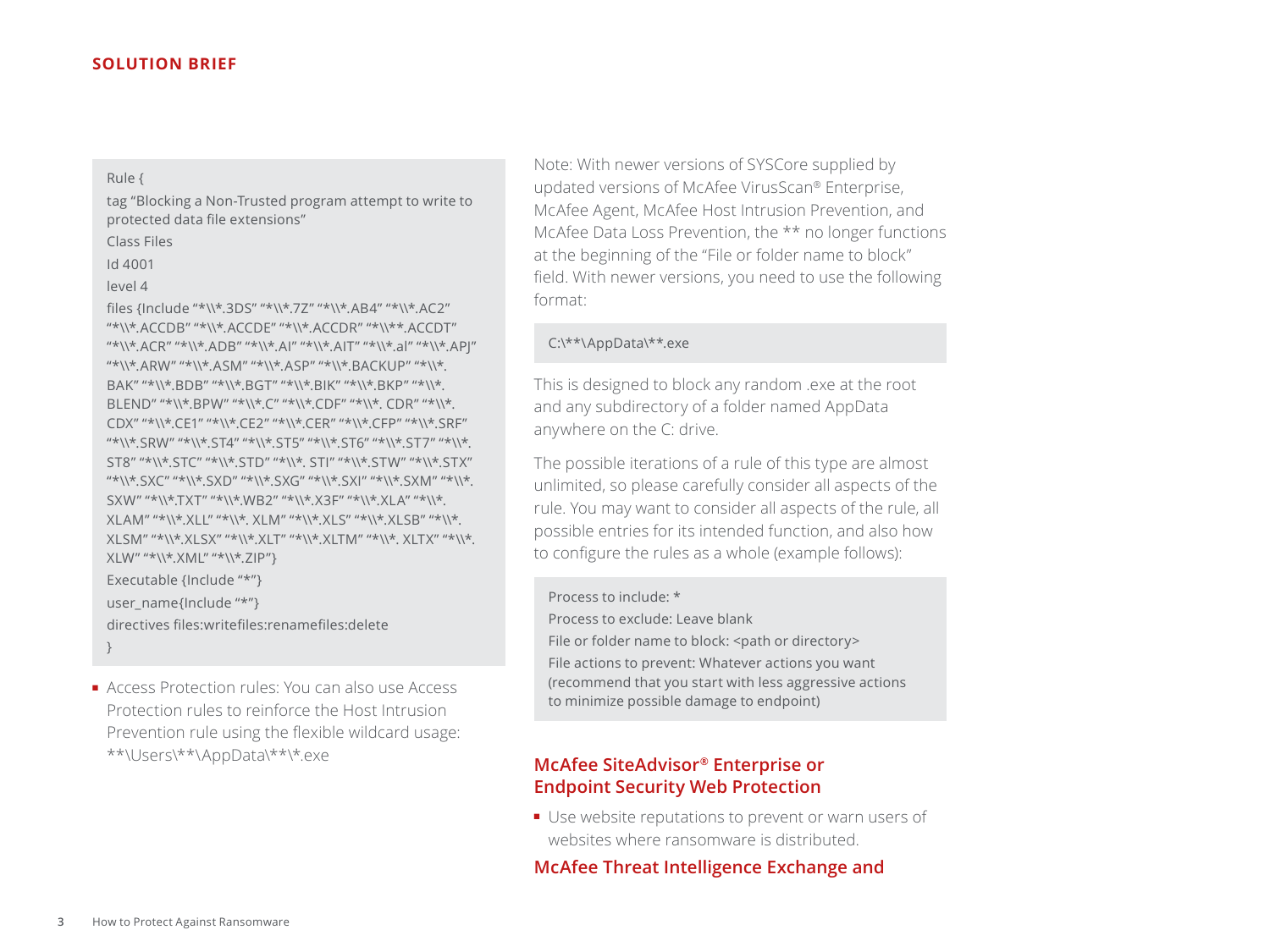#### **SOLUTION BRIEF**

Rule {

tag "Blocking a Non-Trusted program attempt to write to protected data file extensions"

| <b>Class Files</b> |
|--------------------|
|                    |

Id 4001

```
level 4
```
files {Include "\*\\\*.3DS" "\*\\\*.7Z" "\*\\\*.AB4" "\*\\\*.AC2" "\*\\\*.ACCDB" "\*\\\*.ACCDE" "\*\\\*.ACCDR" "\*\\\*\*.ACCDT" "\*\\\*.ACR" "\*\\\*.ADB" "\*\\\*.AI" "\*\\\*.AIT" "\*\\\*.al" "\*\\\*.APJ" "\*\\\*.ARW" "\*\\\*.ASM" "\*\\\*.ASP" "\*\\\*.BACKUP" "\*\\\*. BAK" "\*\\\*.BDB" "\*\\\*.BGT" "\*\\\*.BIK" "\*\\\*.BKP" "\*\\\*. BLEND" "\*\\\*.BPW" "\*\\\*.C" "\*\\\*.CDF" "\*\\\*. CDR" "\*\\\*. CDX" "\*\\\*.CE1" "\*\\\*.CE2" "\*\\\*.CER" "\*\\\*.CFP" "\*\\\*.SRF" "\*\\\*.SRW" "\*\\\*.ST4" "\*\\\*.ST5" "\*\\\*.ST6" "\*\\\*.ST7" "\*\\\*. ST8" "\*\\\*.STC" "\*\\\*.STD" "\*\\\*. STI" "\*\\\*.STW" "\*\\\*.STX" "\*\\\*.SXC" "\*\\\*.SXD" "\*\\\*.SXG" "\*\\\*.SXI" "\*\\\*.SXM" "\*\\\*. SXW" "\*\\\*.TXT" "\*\\\*.WB2" "\*\\\*.X3F" "\*\\\*.XLA" "\*\\\*. XLAM" "\*\\\*.XLL" "\*\\\*. XLM" "\*\\\*.XLS" "\*\\\*.XLSB" "\*\\\*. XLSM" "\*\\\*.XLSX" "\*\\\*.XLT" "\*\\\*.XLTM" "\*\\\*. XLTX" "\*\\\*. XLW" "\*\\\*.XML" "\*\\\*.ZIP"} Executable {Include "\*"} user\_name{Include "\*"} directives files:writefiles:renamefiles:delete

}

■ Access Protection rules: You can also use Access Protection rules to reinforce the Host Intrusion Prevention rule using the flexible wildcard usage: \*\*\Users\\*\*\AppData\\*\*\\*.exe

Note: With newer versions of SYSCore supplied by updated versions of McAfee VirusScan® Enterprise, McAfee Agent, McAfee Host Intrusion Prevention, and McAfee Data Loss Prevention, the \*\* no longer functions at the beginning of the "File or folder name to block" field. With newer versions, you need to use the following format:

C:\\*\*\AppData\\*\*.exe

This is designed to block any random .exe at the root and any subdirectory of a folder named AppData anywhere on the C: drive.

The possible iterations of a rule of this type are almost unlimited, so please carefully consider all aspects of the rule. You may want to consider all aspects of the rule, all possible entries for its intended function, and also how to configure the rules as a whole (example follows):

Process to include: \*

Process to exclude: Leave blank File or folder name to block: <path or directory> File actions to prevent: Whatever actions you want (recommend that you start with less aggressive actions to minimize possible damage to endpoint)

# **McAfee SiteAdvisor® Enterprise or Endpoint Security Web Protection**

■ Use website reputations to prevent or warn users of websites where ransomware is distributed.

**McAfee Threat Intelligence Exchange and**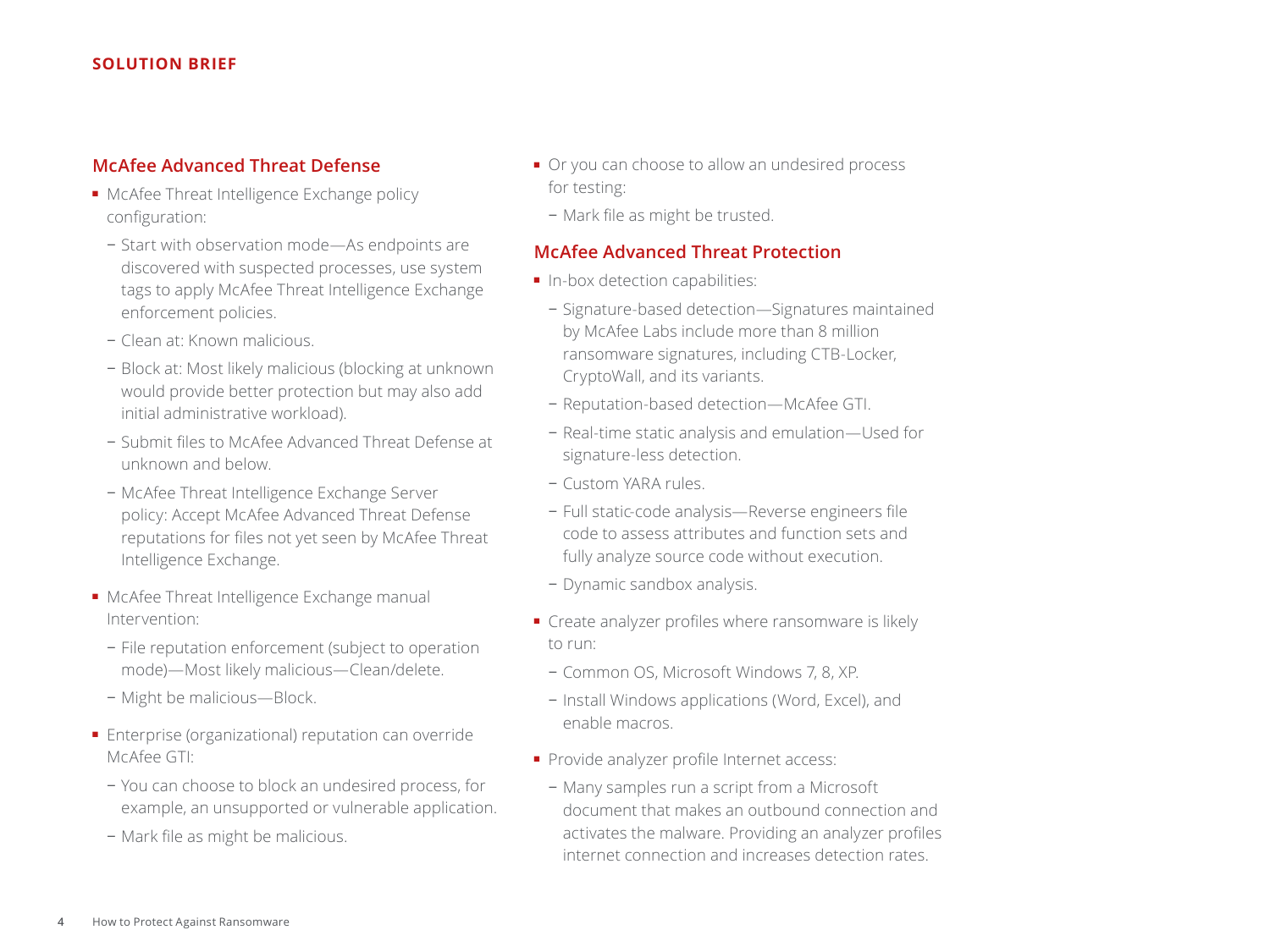#### **SOLUTION BRIEF**

# **McAfee Advanced Threat Defense**

- McAfee Threat Intelligence Exchange policy configuration:
	- − Start with observation mode—As endpoints are discovered with suspected processes, use system tags to apply McAfee Threat Intelligence Exchange enforcement policies.
	- − Clean at: Known malicious.
	- − Block at: Most likely malicious (blocking at unknown would provide better protection but may also add initial administrative workload).
	- − Submit files to McAfee Advanced Threat Defense at unknown and below.
	- − McAfee Threat Intelligence Exchange Server policy: Accept McAfee Advanced Threat Defense reputations for files not yet seen by McAfee Threat Intelligence Exchange.
- McAfee Threat Intelligence Exchange manual Intervention:
	- − File reputation enforcement (subject to operation mode)—Most likely malicious—Clean/delete.
	- − Might be malicious—Block.
- Enterprise (organizational) reputation can override McAfee GTI:
	- − You can choose to block an undesired process, for example, an unsupported or vulnerable application.
	- − Mark file as might be malicious.
- Or you can choose to allow an undesired process for testing:
	- − Mark file as might be trusted.

### **McAfee Advanced Threat Protection**

- In-box detection capabilities:
- − Signature-based detection—Signatures maintained by McAfee Labs include more than 8 million ransomware signatures, including CTB-Locker, CryptoWall, and its variants.
- − Reputation-based detection—McAfee GTI.
- − Real-time static analysis and emulation—Used for signature-less detection.
- − Custom YARA rules.
- − Full static-code analysis—Reverse engineers file code to assess attributes and function sets and fully analyze source code without execution.
- − Dynamic sandbox analysis.
- Create analyzer profiles where ransomware is likely to run:
	- − Common OS, Microsoft Windows 7, 8, XP.
	- − Install Windows applications (Word, Excel), and enable macros.
- Provide analyzer profile Internet access:
	- − Many samples run a script from a Microsoft document that makes an outbound connection and activates the malware. Providing an analyzer profiles internet connection and increases detection rates.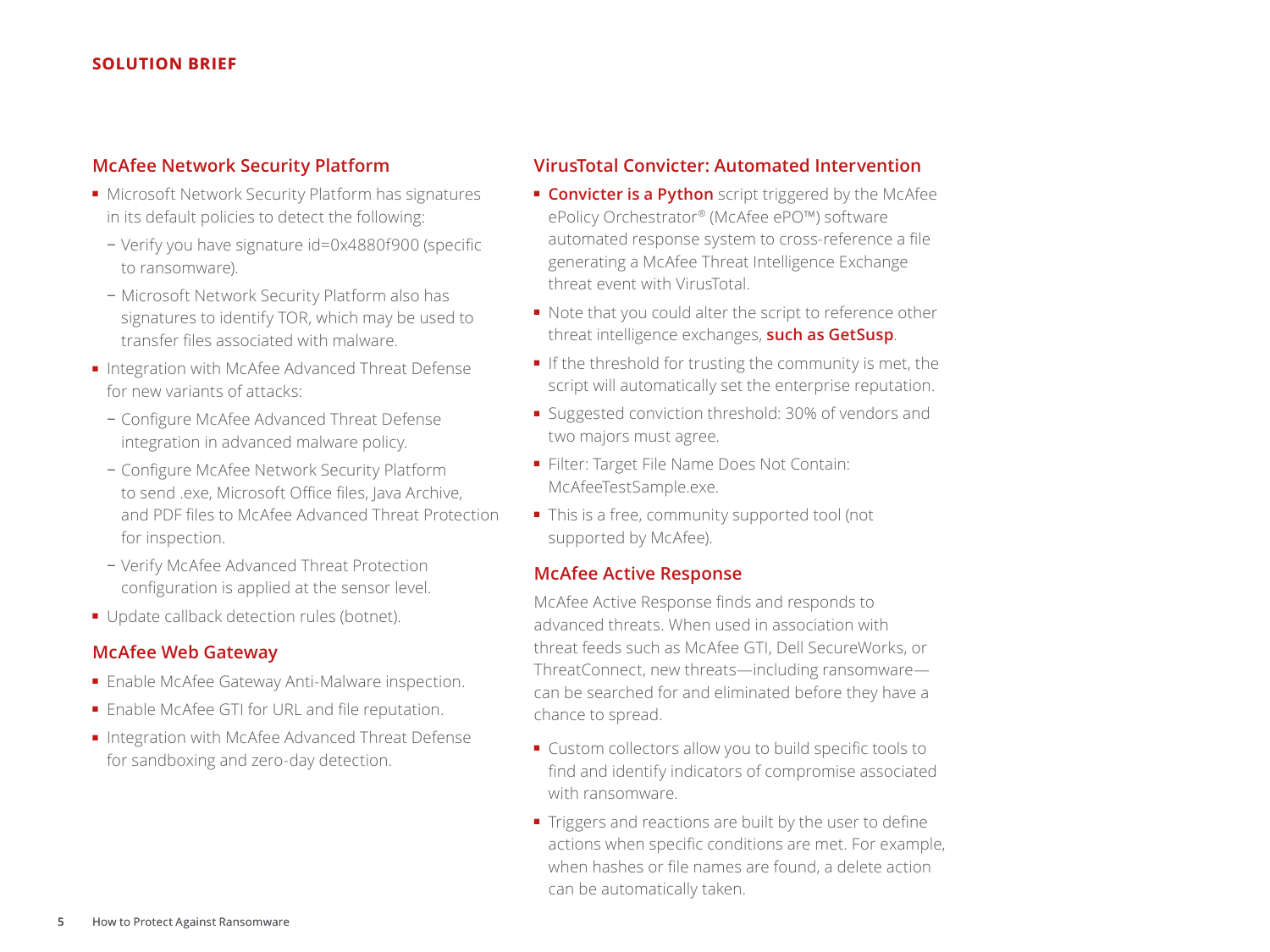# **McAfee Network Security Platform**

- Microsoft Network Security Platform has signatures in its default policies to detect the following:
	- − Verify you have signature id=0x4880f900 (specific to ransomware).
	- − Microsoft Network Security Platform also has signatures to identify TOR, which may be used to transfer files associated with malware.
- Integration with McAfee Advanced Threat Defense for new variants of attacks:
	- − Configure McAfee Advanced Threat Defense integration in advanced malware policy.
	- − Configure McAfee Network Security Platform to send .exe, Microsoft Office files, Java Archive, and PDF files to McAfee Advanced Threat Protection for inspection.
	- − Verify McAfee Advanced Threat Protection configuration is applied at the sensor level.
- Update callback detection rules (botnet).

# **McAfee Web Gateway**

- Enable McAfee Gateway Anti-Malware inspection.
- Enable McAfee GTI for URL and file reputation.
- Integration with McAfee Advanced Threat Defense for sandboxing and zero-day detection.

# **VirusTotal Convicter: Automated Intervention**

- **[Convicter is a Python](https://community.mcafee.com/message/368038)** script triggered by the McAfee ePolicy Orchestrator® (McAfee ePO™) software automated response system to cross-reference a file generating a McAfee Threat Intelligence Exchange threat event with VirusTotal.
- Note that you could alter the script to reference other threat intelligence exchanges, **[such as GetSusp](http://www.mcafee.com/us/downloads/free-tools/getsusp.aspx)**.
- If the threshold for trusting the community is met, the script will automatically set the enterprise reputation.
- Suggested conviction threshold: 30% of vendors and two majors must agree.
- Filter: Target File Name Does Not Contain: McAfeeTestSample.exe.
- This is a free, community supported tool (not supported by McAfee).

# **McAfee Active Response**

McAfee Active Response finds and responds to advanced threats. When used in association with threat feeds such as McAfee GTI, Dell SecureWorks, or ThreatConnect, new threats—including ransomware can be searched for and eliminated before they have a chance to spread.

- Custom collectors allow you to build specific tools to find and identify indicators of compromise associated with ransomware.
- Triggers and reactions are built by the user to define actions when specific conditions are met. For example, when hashes or file names are found, a delete action can be automatically taken.